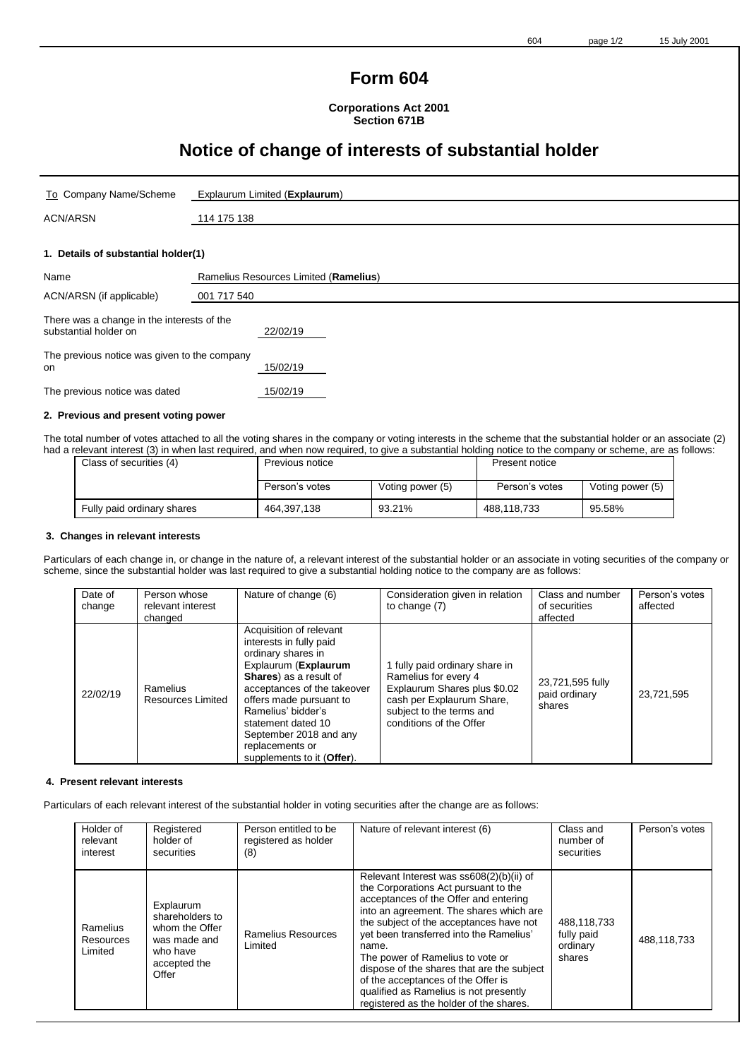# **Form 604**

**Corporations Act 2001 Section 671B**

# **Notice of change of interests of substantial holder**

| To Company Name/Scheme                                                           | Explaurum Limited (Explaurum)         |  |
|----------------------------------------------------------------------------------|---------------------------------------|--|
| <b>ACN/ARSN</b>                                                                  | 114 175 138                           |  |
|                                                                                  |                                       |  |
| 1. Details of substantial holder(1)                                              |                                       |  |
| Name                                                                             | Ramelius Resources Limited (Ramelius) |  |
| ACN/ARSN (if applicable)                                                         | 001 717 540                           |  |
| There was a change in the interests of the<br>substantial holder on              | 22/02/19                              |  |
| The concentration of the concentration of the concentration of the concentration |                                       |  |

The previous notice was given to the company<br>on on 15/02/19

The previous notice was dated 15/02/19

#### **2. Previous and present voting power**

The total number of votes attached to all the voting shares in the company or voting interests in the scheme that the substantial holder or an associate (2) had a relevant interest (3) in when last required, and when now required, to give a substantial holding notice to the company or scheme, are as follows:

| Class of securities (4)    | Previous notice |                  | Present notice |                  |
|----------------------------|-----------------|------------------|----------------|------------------|
|                            | Person's votes  | Voting power (5) | Person's votes | Voting power (5) |
| Fully paid ordinary shares | 464,397,138     | 93.21%           | 488.118.733    | 95.58%           |

#### **3. Changes in relevant interests**

Particulars of each change in, or change in the nature of, a relevant interest of the substantial holder or an associate in voting securities of the company or scheme, since the substantial holder was last required to give a substantial holding notice to the company are as follows:

| Date of<br>change | Person whose<br>relevant interest<br>changed | Nature of change (6)                                                                                                                                                                                                                                                                                        | Consideration given in relation<br>to change (7)                                                                                                                           | Class and number<br>of securities<br>affected | Person's votes<br>affected |
|-------------------|----------------------------------------------|-------------------------------------------------------------------------------------------------------------------------------------------------------------------------------------------------------------------------------------------------------------------------------------------------------------|----------------------------------------------------------------------------------------------------------------------------------------------------------------------------|-----------------------------------------------|----------------------------|
| 22/02/19          | Ramelius<br>Resources Limited                | Acquisition of relevant<br>interests in fully paid<br>ordinary shares in<br>Explaurum (Explaurum<br>Shares) as a result of<br>acceptances of the takeover<br>offers made pursuant to<br>Ramelius' bidder's<br>statement dated 10<br>September 2018 and any<br>replacements or<br>supplements to it (Offer). | 1 fully paid ordinary share in<br>Ramelius for every 4<br>Explaurum Shares plus \$0.02<br>cash per Explaurum Share,<br>subject to the terms and<br>conditions of the Offer | 23,721,595 fully<br>paid ordinary<br>shares   | 23,721,595                 |

#### **4. Present relevant interests**

Particulars of each relevant interest of the substantial holder in voting securities after the change are as follows:

| Holder of<br>relevant<br>interest | Registered<br>holder of<br>securities                                                               | Person entitled to be<br>registered as holder<br>(8) | Nature of relevant interest (6)                                                                                                                                                                                                                                                                                                                                                                                                                                                  | Class and<br>number of<br>securities            | Person's votes |
|-----------------------------------|-----------------------------------------------------------------------------------------------------|------------------------------------------------------|----------------------------------------------------------------------------------------------------------------------------------------------------------------------------------------------------------------------------------------------------------------------------------------------------------------------------------------------------------------------------------------------------------------------------------------------------------------------------------|-------------------------------------------------|----------------|
| Ramelius<br>Resources<br>Limited  | Explaurum<br>shareholders to<br>whom the Offer<br>was made and<br>who have<br>accepted the<br>Offer | Ramelius Resources<br>Limited                        | Relevant Interest was ss608(2)(b)(ii) of<br>the Corporations Act pursuant to the<br>acceptances of the Offer and entering<br>into an agreement. The shares which are<br>the subject of the acceptances have not<br>yet been transferred into the Ramelius'<br>name.<br>The power of Ramelius to vote or<br>dispose of the shares that are the subject<br>of the acceptances of the Offer is<br>qualified as Ramelius is not presently<br>registered as the holder of the shares. | 488,118,733<br>fully paid<br>ordinary<br>shares | 488,118,733    |